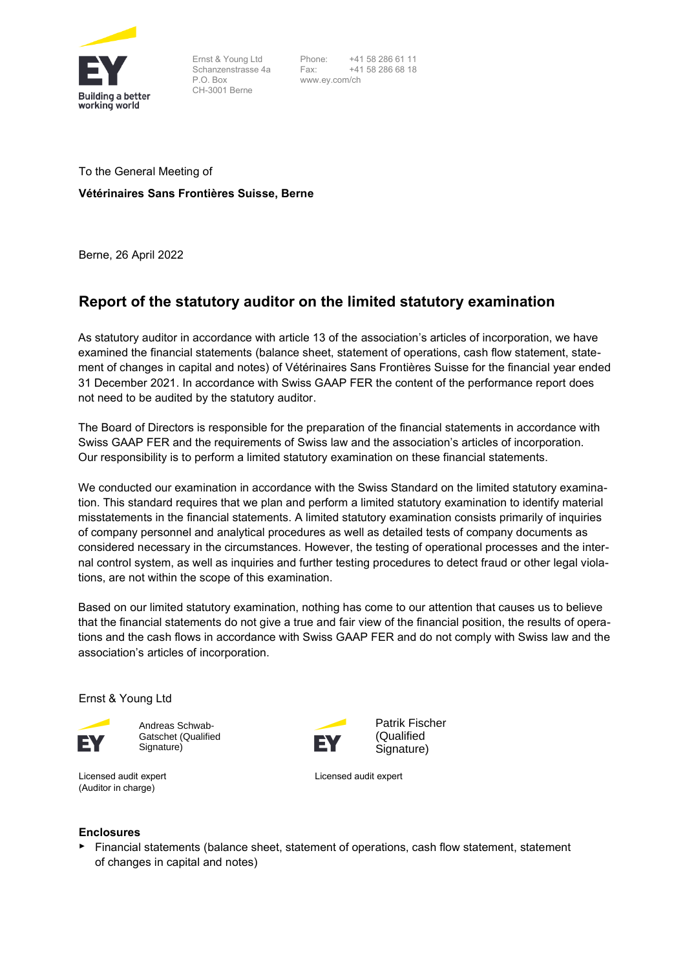

Ernst & Young Ltd Schanzenstrasse 4a P.O. Box CH-3001 Berne

Phone: +41 58 286 61 11 Fax: +41 58 286 68 18 www.ey.com/ch

To the General Meeting of **Vétérinaires Sans Frontières Suisse, Berne**

Berne, 26 April 2022

## **Report of the statutory auditor on the limited statutory examination**

As statutory auditor in accordance with article 13 of the association's articles of incorporation, we have examined the financial statements (balance sheet, statement of operations, cash flow statement, statement of changes in capital and notes) of Vétérinaires Sans Frontières Suisse for the financial year ended 31 December 2021. In accordance with Swiss GAAP FER the content of the performance report does not need to be audited by the statutory auditor.

The Board of Directors is responsible for the preparation of the financial statements in accordance with Swiss GAAP FER and the requirements of Swiss law and the association's articles of incorporation. Our responsibility is to perform a limited statutory examination on these financial statements.

We conducted our examination in accordance with the Swiss Standard on the limited statutory examination. This standard requires that we plan and perform a limited statutory examination to identify material misstatements in the financial statements. A limited statutory examination consists primarily of inquiries of company personnel and analytical procedures as well as detailed tests of company documents as considered necessary in the circumstances. However, the testing of operational processes and the internal control system, as well as inquiries and further testing procedures to detect fraud or other legal violations, are not within the scope of this examination.

Based on our limited statutory examination, nothing has come to our attention that causes us to believe that the financial statements do not give a true and fair view of the financial position, the results of operations and the cash flows in accordance with Swiss GAAP FER and do not comply with Swiss law and the association's articles of incorporation.

Ernst & Young Ltd



Andreas Schwab-Gatschet (Qualified Signature)

Licensed audit expert **Licensed audit expert** (Auditor in charge)



Patrik Fischer (Qualified Signature)

#### **Enclosures**

► Financial statements (balance sheet, statement of operations, cash flow statement, statement of changes in capital and notes)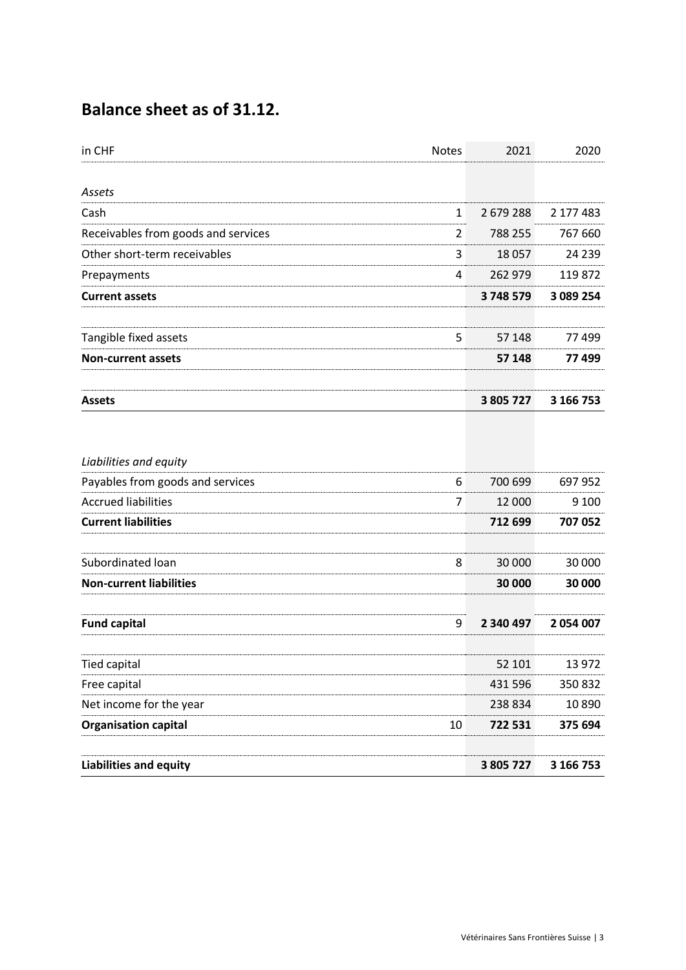# **Balance sheet as of 31.12.**

| in CHF                              | <b>Notes</b>   | 2021      | 2020      |
|-------------------------------------|----------------|-----------|-----------|
|                                     |                |           |           |
| Assets                              |                |           |           |
| Cash                                | $\mathbf{1}$   | 2679288   | 2 177 483 |
| Receivables from goods and services | $\overline{2}$ | 788 255   | 767 660   |
| Other short-term receivables        | 3              | 18057     | 24 2 3 9  |
| Prepayments                         | 4              | 262 979   | 119872    |
| <b>Current assets</b>               |                | 3748579   | 3 089 254 |
|                                     |                |           |           |
| Tangible fixed assets               | 5              | 57 148    | 77 499    |
| <b>Non-current assets</b>           |                | 57 148    | 77 499    |
| <b>Assets</b>                       |                | 3 805 727 | 3 166 753 |
| Liabilities and equity              |                |           |           |
| Payables from goods and services    | 6              | 700 699   | 697 952   |
| <b>Accrued liabilities</b>          | 7              | 12 000    | 9 1 0 0   |
| <b>Current liabilities</b>          |                |           | 707 052   |
|                                     |                | 712 699   |           |
| Subordinated loan                   | 8              | 30 000    | 30 000    |
| <b>Non-current liabilities</b>      |                | 30 000    | 30 000    |
|                                     |                |           |           |

| <b>Fund capital</b><br>9          | 2 340 497 | 2054007   |
|-----------------------------------|-----------|-----------|
|                                   |           |           |
| Tied capital                      | 52 101    | 13 9 72   |
| Free capital                      | 431 596   | 350832    |
| Net income for the year           | 238 834   | 10890     |
| <b>Organisation capital</b><br>10 | 722 531   | 375 694   |
|                                   |           |           |
| Liabilities and equity            | 3 805 727 | 3 166 753 |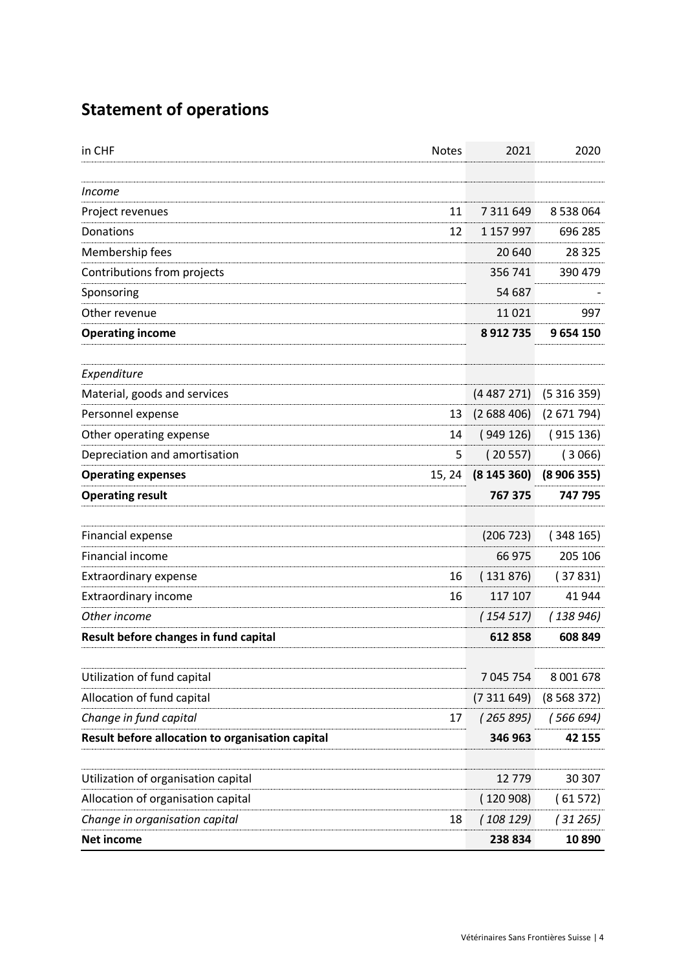# **Statement of operations**

| in CHF                                           | <b>Notes</b> | 2021      | 2020      |
|--------------------------------------------------|--------------|-----------|-----------|
|                                                  |              |           |           |
| Income                                           |              |           |           |
| Project revenues                                 | 11           | 7 311 649 | 8 538 064 |
| Donations                                        | 12           | 1 157 997 | 696 285   |
| Membership fees                                  |              | 20 640    | 28 3 25   |
| Contributions from projects                      |              | 356 741   | 390 479   |
| Sponsoring                                       |              | 54 687    |           |
| Other revenue                                    |              | 11021     | 997       |
| <b>Operating income</b>                          |              | 8912735   | 9654150   |
| Expenditure                                      |              |           |           |
|                                                  |              | (4487271) | (5316359) |
| Material, goods and services                     |              |           |           |
| Personnel expense                                | 13           | (2688406) | (2671794) |
| Other operating expense                          | 14           | (949126)  | (915136)  |
| Depreciation and amortisation                    | 5            | (20557)   | (3066)    |
| <b>Operating expenses</b>                        | 15, 24       | (8145360) | (8906355) |
| <b>Operating result</b>                          |              | 767 375   | 747 795   |
| Financial expense                                |              | (206 723) | (348165)  |
| <b>Financial income</b>                          |              | 66 975    | 205 106   |
| Extraordinary expense                            | 16           | (131876)  | (37831)   |
| <b>Extraordinary income</b>                      | 16           | 117 107   | 41944     |
| Other income                                     |              | (154517)  |           |
|                                                  |              |           | (138 946) |
| Result before changes in fund capital            |              | 612858    | 608 849   |
| Utilization of fund capital                      |              | 7 045 754 | 8 001 678 |
| Allocation of fund capital                       |              | (7311649) | (8568372) |
| Change in fund capital                           | 17           | (265895)  | (566694)  |
| Result before allocation to organisation capital |              | 346 963   | 42 155    |
|                                                  |              |           |           |
| Utilization of organisation capital              |              | 12779     | 30 30 7   |
| Allocation of organisation capital               |              | (120908)  | (61572)   |
| Change in organisation capital                   | 18           | (108129)  | (31265)   |
| <b>Net income</b>                                |              | 238 834   | 10890     |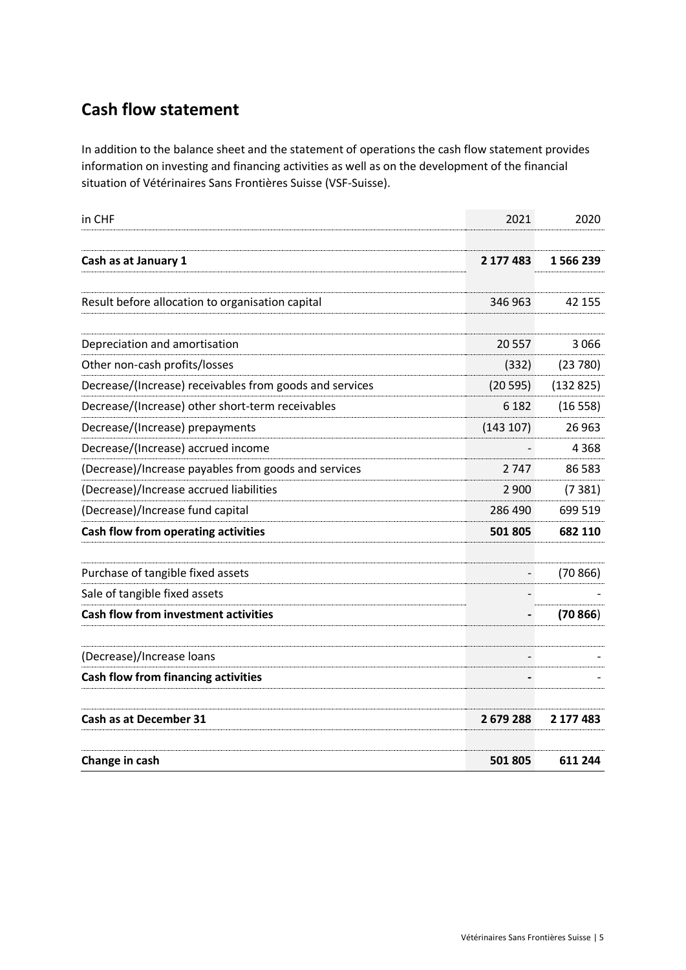# **Cash flow statement**

In addition to the balance sheet and the statement of operations the cash flow statement provides information on investing and financing activities as well as on the development of the financial situation of Vétérinaires Sans Frontières Suisse (VSF-Suisse).

| in CHF                                                  | 2021      | 2020      |
|---------------------------------------------------------|-----------|-----------|
|                                                         |           |           |
| Cash as at January 1                                    | 2 177 483 | 1 566 239 |
|                                                         |           |           |
| Result before allocation to organisation capital        | 346 963   | 42 155    |
|                                                         |           |           |
| Depreciation and amortisation                           | 20557     | 3066      |
| Other non-cash profits/losses                           | (332)     | (23780)   |
| Decrease/(Increase) receivables from goods and services | (20 595)  | (132825)  |
| Decrease/(Increase) other short-term receivables        | 6 1 8 2   | (16558)   |
| Decrease/(Increase) prepayments                         | (143 107) | 26 9 63   |
| Decrease/(Increase) accrued income                      |           | 4368      |
| (Decrease)/Increase payables from goods and services    | 2 747     | 86 5 83   |
| (Decrease)/Increase accrued liabilities                 | 2 9 0 0   | (7381)    |
| (Decrease)/Increase fund capital                        | 286 490   | 699 519   |
| <b>Cash flow from operating activities</b>              | 501 805   | 682 110   |
|                                                         |           |           |
| Purchase of tangible fixed assets                       |           | (70866)   |
| Sale of tangible fixed assets                           |           |           |
| <b>Cash flow from investment activities</b>             |           | (70866)   |
| (Decrease)/Increase loans                               |           |           |
| <b>Cash flow from financing activities</b>              |           |           |
|                                                         |           |           |
| <b>Cash as at December 31</b>                           | 2679288   | 2 177 483 |
|                                                         |           |           |
| Change in cash                                          | 501 805   | 611 244   |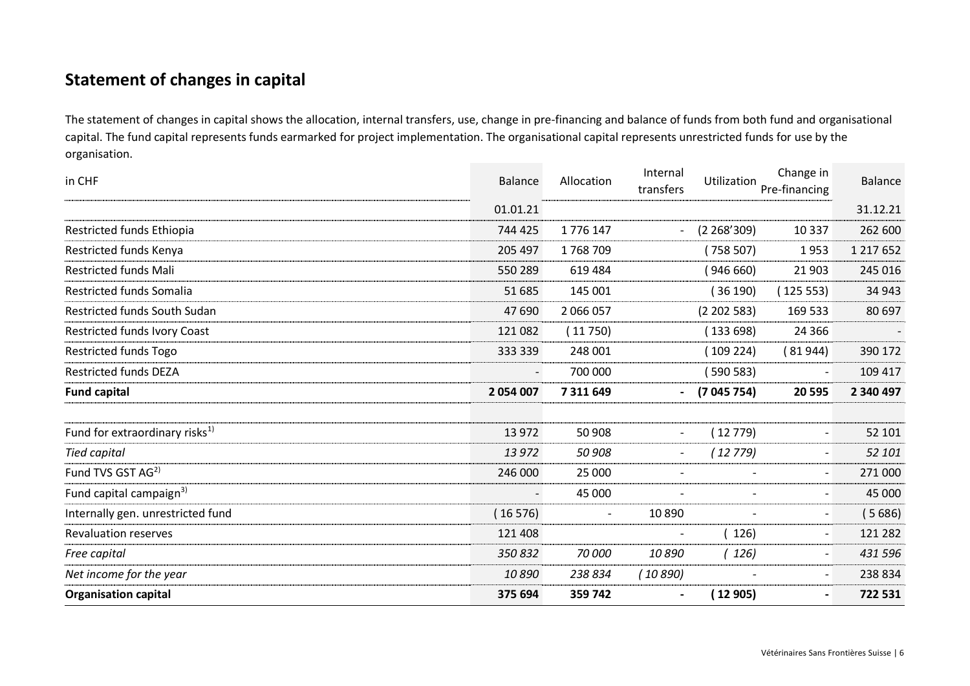# **Statement of changes in capital**

The statement of changes in capital shows the allocation, internal transfers, use, change in pre-financing and balance of funds from both fund and organisational capital. The fund capital represents funds earmarked for project implementation. The organisational capital represents unrestricted funds for use by the organisation.

| in CHF                                     | <b>Balance</b> | Allocation               | Internal<br>transfers    | Utilization              | Change in<br>Pre-financing | <b>Balance</b> |
|--------------------------------------------|----------------|--------------------------|--------------------------|--------------------------|----------------------------|----------------|
|                                            | 01.01.21       |                          |                          |                          |                            | 31.12.21       |
| Restricted funds Ethiopia                  | 744 425        | 1776 147                 | $\overline{\phantom{a}}$ | (2 268'309)              | 10 3 3 7                   | 262 600        |
| Restricted funds Kenya                     | 205 497        | 1768709                  |                          | (758507)                 | 1953                       | 1 2 1 7 6 5 2  |
| <b>Restricted funds Mali</b>               | 550 289        | 619 484                  |                          | (946660)                 | 21 903                     | 245 016        |
| Restricted funds Somalia                   | 51 685         | 145 001                  |                          | (36190)                  | (125553)                   | 34 943         |
| Restricted funds South Sudan               | 47690          | 2 066 057                |                          | (2202583)                | 169 533                    | 80 697         |
| <b>Restricted funds Ivory Coast</b>        | 121 082        | (11750)                  |                          | (133698)                 | 24 3 66                    |                |
| <b>Restricted funds Togo</b>               | 333 339        | 248 001                  |                          | (109 224)                | (81944)                    | 390 172        |
| <b>Restricted funds DEZA</b>               |                | 700 000                  |                          | (590 583)                |                            | 109 417        |
| <b>Fund capital</b>                        | 2 0 5 4 0 0 7  | 7 311 649                |                          | (7045754)                | 20 5 95                    | 2 340 497      |
|                                            |                |                          |                          |                          |                            |                |
| Fund for extraordinary risks <sup>1)</sup> | 13 9 72        | 50 908                   | $\overline{\phantom{a}}$ | (12779)                  | $\overline{\phantom{a}}$   | 52 101         |
| <b>Tied capital</b>                        | 13972          | 50 908                   | $\overline{\phantom{a}}$ | (12779)                  | $\overline{\phantom{a}}$   | 52 101         |
| Fund TVS GST AG <sup>2)</sup>              | 246 000        | 25 000                   | $\overline{\phantom{a}}$ | $\overline{\phantom{a}}$ | $\overline{\phantom{a}}$   | 271 000        |
| Fund capital campaign <sup>3)</sup>        |                | 45 000                   |                          | $\blacksquare$           | $\overline{\phantom{a}}$   | 45 000         |
| Internally gen. unrestricted fund          | (16576)        | $\overline{\phantom{a}}$ | 10890                    |                          | $\qquad \qquad$            | (5686)         |
| <b>Revaluation reserves</b>                | 121 408        |                          |                          | 126)                     | $\overline{a}$             | 121 282        |
| Free capital                               | 350 832        | 70 000                   | 10890                    | 126)                     | $\overline{\phantom{a}}$   | 431 596        |
| Net income for the year                    | 10890          | 238 834                  | (10 890)                 |                          | $\overline{\phantom{a}}$   | 238 834        |
| <b>Organisation capital</b>                | 375 694        | 359 742                  | $\overline{\phantom{a}}$ | (12905)                  | $\overline{\phantom{0}}$   | 722 531        |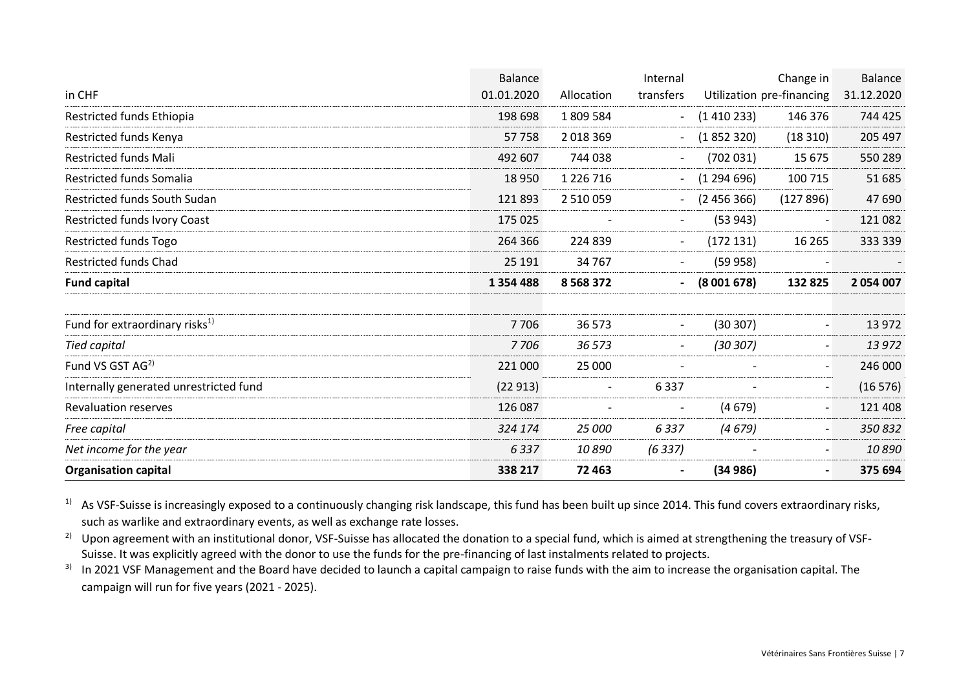|                                            | <b>Balance</b> |                          | Internal                     |           | Change in                 | <b>Balance</b> |
|--------------------------------------------|----------------|--------------------------|------------------------------|-----------|---------------------------|----------------|
| in CHF                                     | 01.01.2020     | Allocation               | transfers                    |           | Utilization pre-financing | 31.12.2020     |
| Restricted funds Ethiopia                  | 198 698        | 1809584                  | $\sim$                       | (1410233) | 146 376                   | 744 425        |
| Restricted funds Kenya                     | 57758          | 2018369                  | $\sim$                       | (1852320) | (18310)                   | 205 497        |
| <b>Restricted funds Mali</b>               | 492 607        | 744 038                  |                              | (702 031) | 15 6 75                   | 550 289        |
| <b>Restricted funds Somalia</b>            | 18 9 50        | 1 2 2 6 7 1 6            | $\sim$                       | (1294696) | 100 715                   | 51 685         |
| Restricted funds South Sudan               | 121 893        | 2 510 059                |                              | (245636)  | (127896)                  | 47690          |
| Restricted funds Ivory Coast               | 175 025        | $\overline{\phantom{a}}$ | $\overline{\phantom{a}}$     | (53943)   |                           | 121 082        |
| Restricted funds Togo                      | 264 366        | 224 839                  | $\overline{\phantom{a}}$     | (172131)  | 16 2 65                   | 333 339        |
| <b>Restricted funds Chad</b>               | 25 191         | 34767                    | $\overline{\phantom{a}}$     | (59958)   |                           |                |
| <b>Fund capital</b>                        | 1 354 488      | 8 5 68 3 72              | $\overline{\phantom{0}}$     | (8001678) | 132 825                   | 2 0 54 0 0 7   |
|                                            |                |                          |                              |           |                           |                |
| Fund for extraordinary risks <sup>1)</sup> | 7706           | 36 573                   | $\overline{\phantom{a}}$     | (30307)   | $\overline{\phantom{a}}$  | 13 9 72        |
| Tied capital                               | 7706           | 36573                    | $\overline{\phantom{a}}$     | (30 307)  | $\overline{\phantom{a}}$  | 13972          |
| Fund VS GST AG <sup>2)</sup>               | 221 000        | 25 000                   | $\qquad \qquad \blacksquare$ |           | $\overline{\phantom{a}}$  | 246 000        |
| Internally generated unrestricted fund     | (22913)        | $\overline{\phantom{a}}$ | 6337                         |           | $\overline{\phantom{a}}$  | (16 576)       |
| <b>Revaluation reserves</b>                | 126 087        |                          | $\overline{\phantom{a}}$     | (4679)    |                           | 121 408        |
| Free capital                               | 324 174        | 25 000                   | 6337                         | (4679)    | $\overline{\phantom{a}}$  | 350 832        |
| Net income for the year                    | 6337           | 10890                    | (6337)                       |           | $\overline{\phantom{a}}$  | 10890          |
| <b>Organisation capital</b>                | 338 217        | 72 463                   | $\overline{\phantom{a}}$     | (34986)   | $\overline{\phantom{0}}$  | 375 694        |

<sup>1)</sup> As VSF-Suisse is increasingly exposed to a continuously changing risk landscape, this fund has been built up since 2014. This fund covers extraordinary risks, such as warlike and extraordinary events, as well as exchange rate losses.

<sup>2)</sup> Upon agreement with an institutional donor, VSF-Suisse has allocated the donation to a special fund, which is aimed at strengthening the treasury of VSF-Suisse. It was explicitly agreed with the donor to use the funds for the pre-financing of last instalments related to projects.

<sup>3)</sup> In 2021 VSF Management and the Board have decided to launch a capital campaign to raise funds with the aim to increase the organisation capital. The campaign will run for five years (2021 - 2025).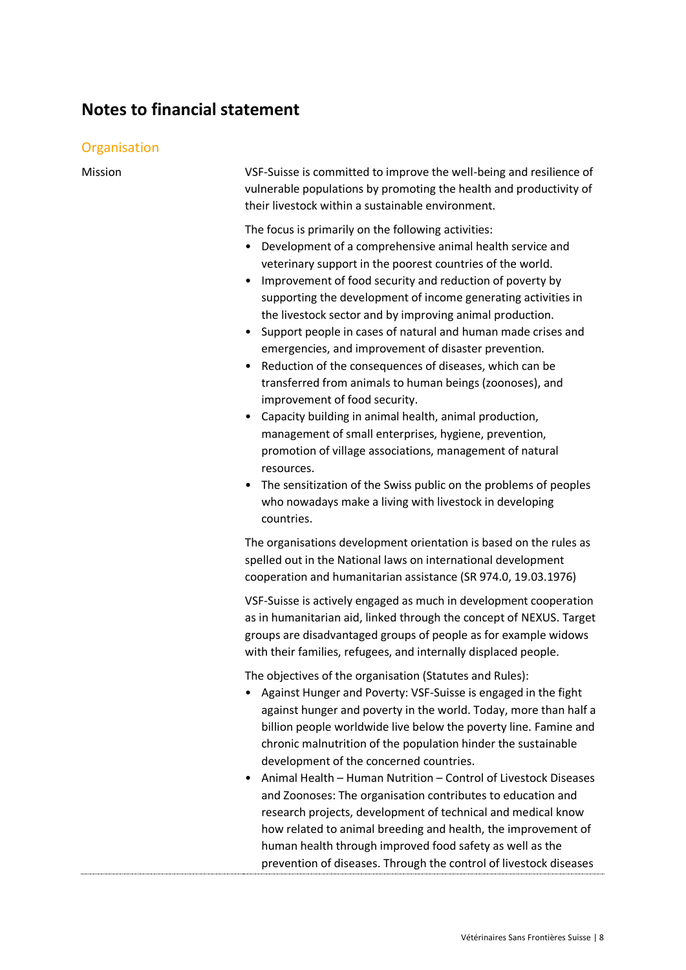## **Notes to financial statement**

#### **Organisation**

Mission VSF-Suisse is committed to improve the well-being and resilience of vulnerable populations by promoting the health and productivity of their livestock within a sustainable environment.

The focus is primarily on the following activities:

- Development of a comprehensive animal health service and veterinary support in the poorest countries of the world.
- Improvement of food security and reduction of poverty by supporting the development of income generating activities in the livestock sector and by improving animal production.
- Support people in cases of natural and human made crises and emergencies, and improvement of disaster prevention.
- Reduction of the consequences of diseases, which can be transferred from animals to human beings (zoonoses), and improvement of food security.
- Capacity building in animal health, animal production, management of small enterprises, hygiene, prevention, promotion of village associations, management of natural resources.
- The sensitization of the Swiss public on the problems of peoples who nowadays make a living with livestock in developing countries.

The organisations development orientation is based on the rules as spelled out in the National laws on international development cooperation and humanitarian assistance (SR 974.0, 19.03.1976)

VSF-Suisse is actively engaged as much in development cooperation as in humanitarian aid, linked through the concept of NEXUS. Target groups are disadvantaged groups of people as for example widows with their families, refugees, and internally displaced people.

The objectives of the organisation (Statutes and Rules):

- Against Hunger and Poverty: VSF-Suisse is engaged in the fight against hunger and poverty in the world. Today, more than half a billion people worldwide live below the poverty line. Famine and chronic malnutrition of the population hinder the sustainable development of the concerned countries.
- Animal Health Human Nutrition Control of Livestock Diseases and Zoonoses: The organisation contributes to education and research projects, development of technical and medical know how related to animal breeding and health, the improvement of human health through improved food safety as well as the prevention of diseases. Through the control of livestock diseases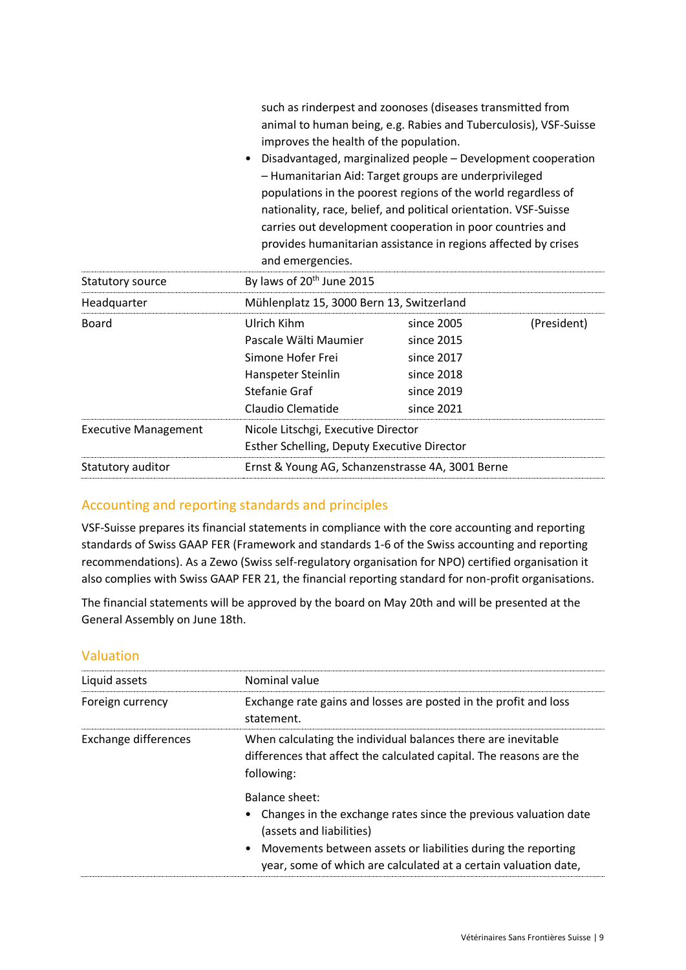|                             | such as rinderpest and zoonoses (diseases transmitted from<br>animal to human being, e.g. Rabies and Tuberculosis), VSF-Suisse<br>improves the health of the population.<br>Disadvantaged, marginalized people - Development cooperation<br>$\bullet$<br>- Humanitarian Aid: Target groups are underprivileged<br>populations in the poorest regions of the world regardless of<br>nationality, race, belief, and political orientation. VSF-Suisse<br>carries out development cooperation in poor countries and<br>provides humanitarian assistance in regions affected by crises<br>and emergencies. |            |             |
|-----------------------------|--------------------------------------------------------------------------------------------------------------------------------------------------------------------------------------------------------------------------------------------------------------------------------------------------------------------------------------------------------------------------------------------------------------------------------------------------------------------------------------------------------------------------------------------------------------------------------------------------------|------------|-------------|
| Statutory source            | By laws of 20 <sup>th</sup> June 2015                                                                                                                                                                                                                                                                                                                                                                                                                                                                                                                                                                  |            |             |
| Headquarter                 | Mühlenplatz 15, 3000 Bern 13, Switzerland                                                                                                                                                                                                                                                                                                                                                                                                                                                                                                                                                              |            |             |
| Board                       | Ulrich Kihm                                                                                                                                                                                                                                                                                                                                                                                                                                                                                                                                                                                            | since 2005 | (President) |
|                             | Pascale Wälti Maumier                                                                                                                                                                                                                                                                                                                                                                                                                                                                                                                                                                                  | since 2015 |             |
|                             | Simone Hofer Frei                                                                                                                                                                                                                                                                                                                                                                                                                                                                                                                                                                                      | since 2017 |             |
|                             | Hanspeter Steinlin                                                                                                                                                                                                                                                                                                                                                                                                                                                                                                                                                                                     | since 2018 |             |
|                             | <b>Stefanie Graf</b>                                                                                                                                                                                                                                                                                                                                                                                                                                                                                                                                                                                   | since 2019 |             |
|                             | Claudio Clematide                                                                                                                                                                                                                                                                                                                                                                                                                                                                                                                                                                                      | since 2021 |             |
| <b>Executive Management</b> | Nicole Litschgi, Executive Director                                                                                                                                                                                                                                                                                                                                                                                                                                                                                                                                                                    |            |             |
|                             | Esther Schelling, Deputy Executive Director                                                                                                                                                                                                                                                                                                                                                                                                                                                                                                                                                            |            |             |
| Statutory auditor           | Ernst & Young AG, Schanzenstrasse 4A, 3001 Berne                                                                                                                                                                                                                                                                                                                                                                                                                                                                                                                                                       |            |             |

### Accounting and reporting standards and principles

VSF-Suisse prepares its financial statements in compliance with the core accounting and reporting standards of Swiss GAAP FER (Framework and standards 1-6 of the Swiss accounting and reporting recommendations). As a Zewo (Swiss self-regulatory organisation for NPO) certified organisation it also complies with Swiss GAAP FER 21, the financial reporting standard for non-profit organisations.

The financial statements will be approved by the board on May 20th and will be presented at the General Assembly on June 18th.

#### Valuation

| Liquid assets        | Nominal value                                                                                                                                                                                                                                                 |
|----------------------|---------------------------------------------------------------------------------------------------------------------------------------------------------------------------------------------------------------------------------------------------------------|
| Foreign currency     | Exchange rate gains and losses are posted in the profit and loss<br>statement.                                                                                                                                                                                |
| Exchange differences | When calculating the individual balances there are inevitable<br>differences that affect the calculated capital. The reasons are the<br>following:                                                                                                            |
|                      | Balance sheet:<br>Changes in the exchange rates since the previous valuation date<br>(assets and liabilities)<br>Movements between assets or liabilities during the reporting<br>$\bullet$<br>year, some of which are calculated at a certain valuation date, |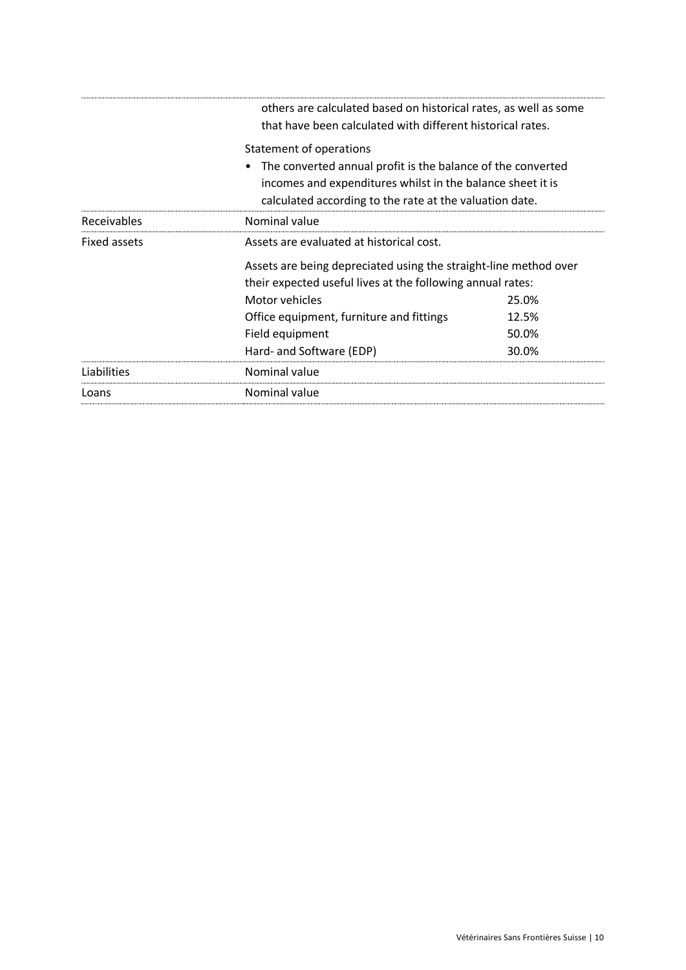|              | others are calculated based on historical rates, as well as some                                                                       |       |  |  |
|--------------|----------------------------------------------------------------------------------------------------------------------------------------|-------|--|--|
|              | that have been calculated with different historical rates.                                                                             |       |  |  |
|              | Statement of operations                                                                                                                |       |  |  |
|              | The converted annual profit is the balance of the converted<br>$\bullet$<br>incomes and expenditures whilst in the balance sheet it is |       |  |  |
|              | calculated according to the rate at the valuation date.                                                                                |       |  |  |
| Receivables  | Nominal value                                                                                                                          |       |  |  |
| Fixed assets | Assets are evaluated at historical cost.                                                                                               |       |  |  |
|              | Assets are being depreciated using the straight-line method over                                                                       |       |  |  |
|              | their expected useful lives at the following annual rates:                                                                             |       |  |  |
|              | Motor vehicles                                                                                                                         | 25.0% |  |  |
|              | Office equipment, furniture and fittings                                                                                               | 12.5% |  |  |
|              | Field equipment                                                                                                                        | 50.0% |  |  |
|              | Hard- and Software (EDP)                                                                                                               | 30.0% |  |  |
| Liabilities  | Nominal value                                                                                                                          |       |  |  |
| Loans        | Nominal value                                                                                                                          |       |  |  |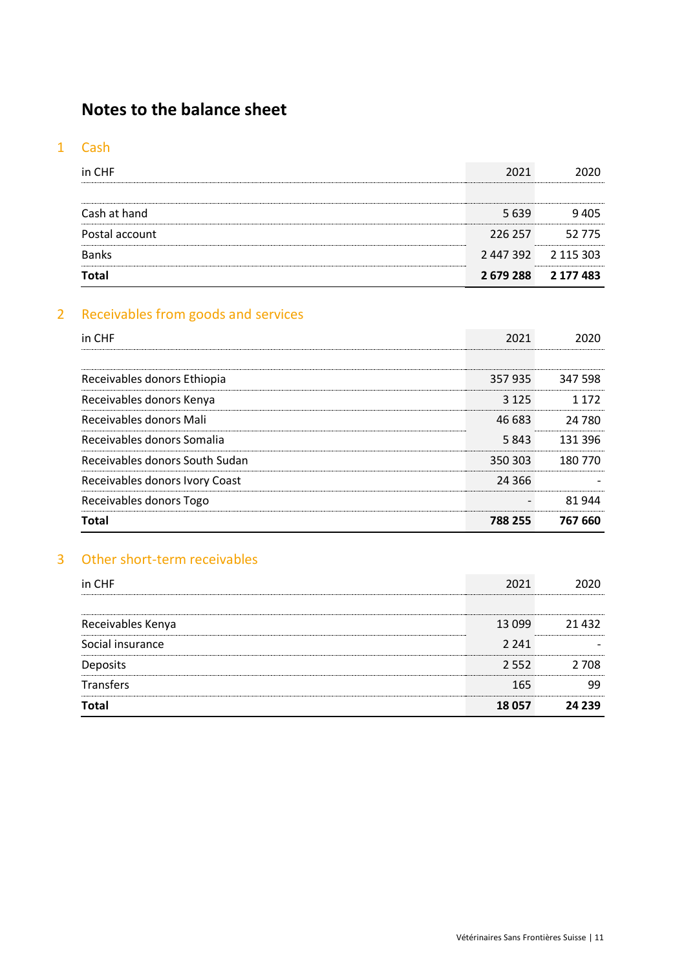# **Notes to the balance sheet**

### 1 Cash

<span id="page-9-0"></span>

| in CHF         | 2021    | 2020                |
|----------------|---------|---------------------|
|                |         |                     |
| Cash at hand   | 5 6 3 9 | 9405                |
| Postal account | 226 257 | 52775               |
| <b>Banks</b>   |         | 2 447 392 2 115 303 |
| <b>Total</b>   |         | 2 679 288 2 177 483 |

# <span id="page-9-1"></span>2 Receivables from goods and services

| in CHF                         | 2021     | 2020    |
|--------------------------------|----------|---------|
|                                |          |         |
| Receivables donors Ethiopia    | 357935   | 347 598 |
| Receivables donors Kenya       | 3 1 2 5  | 1 1 7 2 |
| Receivables donors Mali        | 46 683   | 24 780  |
| Receivables donors Somalia     | 5843     | 131 396 |
| Receivables donors South Sudan | 350 303  | 180 770 |
| Receivables donors Ivory Coast | 24 3 6 6 |         |
| Receivables donors Togo        |          | 81 944  |
| Total                          | 788 255  | 767 660 |

## <span id="page-9-2"></span>3 Other short-term receivables

| in CHF            | 2021    | 2020    |
|-------------------|---------|---------|
|                   |         |         |
| Receivables Kenya | 13 0 99 | 21 4 32 |
| Social insurance  | 2 2 4 1 |         |
| Deposits          | 2 5 5 2 | 2 708   |
| Transfers         | 165     | 99      |
| <b>Total</b>      | 18 0 57 | 24 2 39 |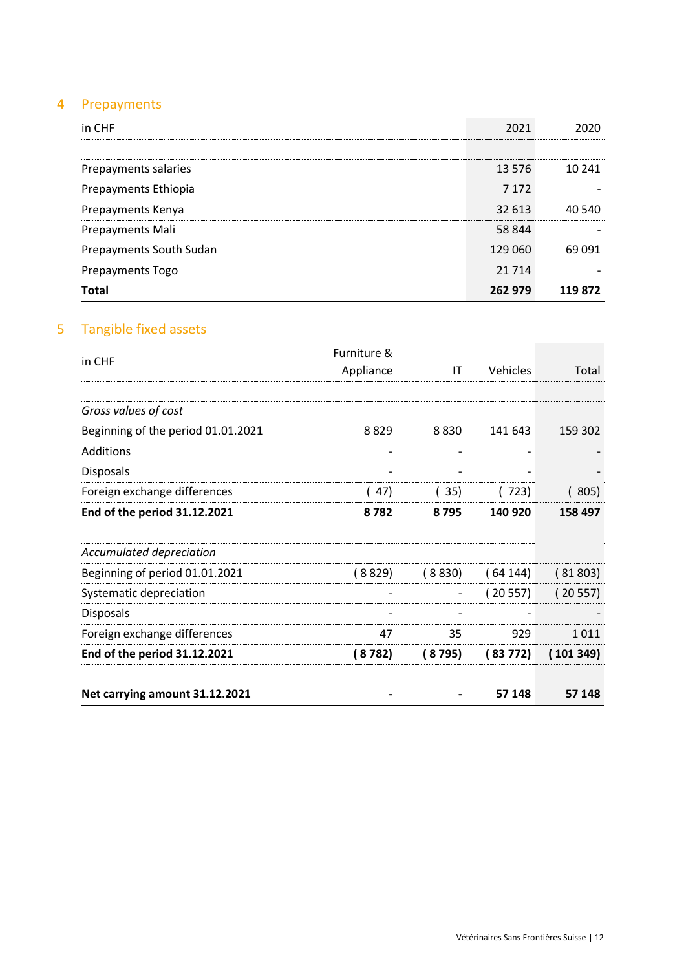## 4 Prepayments

<span id="page-10-0"></span>

| in CHF                  | 2021    | 2020   |
|-------------------------|---------|--------|
|                         |         |        |
| Prepayments salaries    | 13.576  | 10 241 |
| Prepayments Ethiopia    | 7 1 7 2 |        |
| Prepayments Kenya       | 32 613  | 40.540 |
| Prepayments Mali        | 58 844  |        |
| Prepayments South Sudan | 129 060 | 69091  |
| Prepayments Togo        | 21 7 14 |        |
| <b>Total</b>            | 262 979 | 119872 |

# 5 Tangible fixed assets

| in CHF                             | Furniture &           |                          |          |          |
|------------------------------------|-----------------------|--------------------------|----------|----------|
|                                    | Appliance             | IT                       | Vehicles | Total    |
|                                    |                       |                          |          |          |
| Gross values of cost               |                       |                          |          |          |
| Beginning of the period 01.01.2021 | 8829                  | 8830                     | 141 643  | 159 302  |
| Additions                          |                       |                          |          |          |
| <b>Disposals</b>                   |                       |                          |          |          |
| Foreign exchange differences       | 47)<br>$\overline{ }$ | (35)                     | (723)    | (805)    |
| End of the period 31.12.2021       | 8782                  | 8795                     | 140 920  | 158 497  |
| Accumulated depreciation           |                       |                          |          |          |
| Beginning of period 01.01.2021     | (8829)                | (8830)                   | (64 144) | (81803)  |
| Systematic depreciation            |                       | $\overline{\phantom{a}}$ | (20557)  | (20557)  |
| <b>Disposals</b>                   |                       |                          |          |          |
| Foreign exchange differences       | 47                    | 35                       | 929      | 1011     |
| End of the period 31.12.2021       | (8782)                | (8795)                   | (83772)  | (101349) |
| Net carrying amount 31.12.2021     |                       |                          | 57 148   | 57 148   |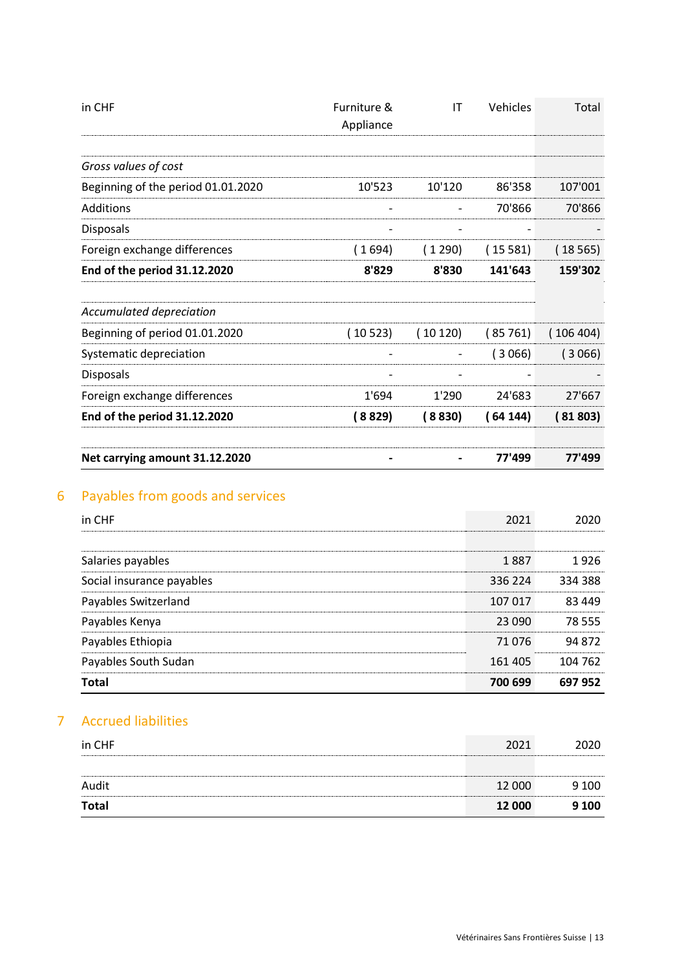| in CHF                             | Furniture &<br>Appliance | IT      | Vehicles | Total    |
|------------------------------------|--------------------------|---------|----------|----------|
| Gross values of cost               |                          |         |          |          |
| Beginning of the period 01.01.2020 | 10'523                   | 10'120  | 86'358   | 107'001  |
| Additions                          |                          |         | 70'866   | 70'866   |
| <b>Disposals</b>                   |                          |         |          |          |
| Foreign exchange differences       | (1694)                   | (1290)  | (15581)  | (18 565) |
| End of the period 31.12.2020       | 8'829                    | 8'830   | 141'643  | 159'302  |
| Accumulated depreciation           |                          |         |          |          |
| Beginning of period 01.01.2020     | (10523)                  | (10120) | (85761)  | (106404) |
| Systematic depreciation            |                          |         | (3066)   | (3066)   |
| <b>Disposals</b>                   |                          |         |          |          |
| Foreign exchange differences       | 1'694                    | 1'290   | 24'683   | 27'667   |
| End of the period 31.12.2020       | (8829)                   | (8830)  | (64144)  | (81803)  |
| Net carrying amount 31.12.2020     |                          |         | 77'499   | 77'499   |

# 6 Payables from goods and services

| in CHF                    | 2021     | 2020    |
|---------------------------|----------|---------|
|                           |          |         |
| Salaries payables         | 1887     | 1926    |
| Social insurance payables | 336 224  | 334 388 |
| Payables Switzerland      | 107 017  | 83 449  |
| Payables Kenya            | 23 0 9 0 | 78 555  |
| Payables Ethiopia         | 71 0 76  | 94872   |
| Payables South Sudan      | 161 405  | 104 762 |
| <b>Total</b>              | 700 699  | 697 952 |

### 7 Accrued liabilities

| <b>Total</b> | 12 000 | 9 1 0 0 |
|--------------|--------|---------|
| Audit        | 12 000 | 9 1 0 0 |
|              |        |         |
| in CHF       | 2021   | 2020    |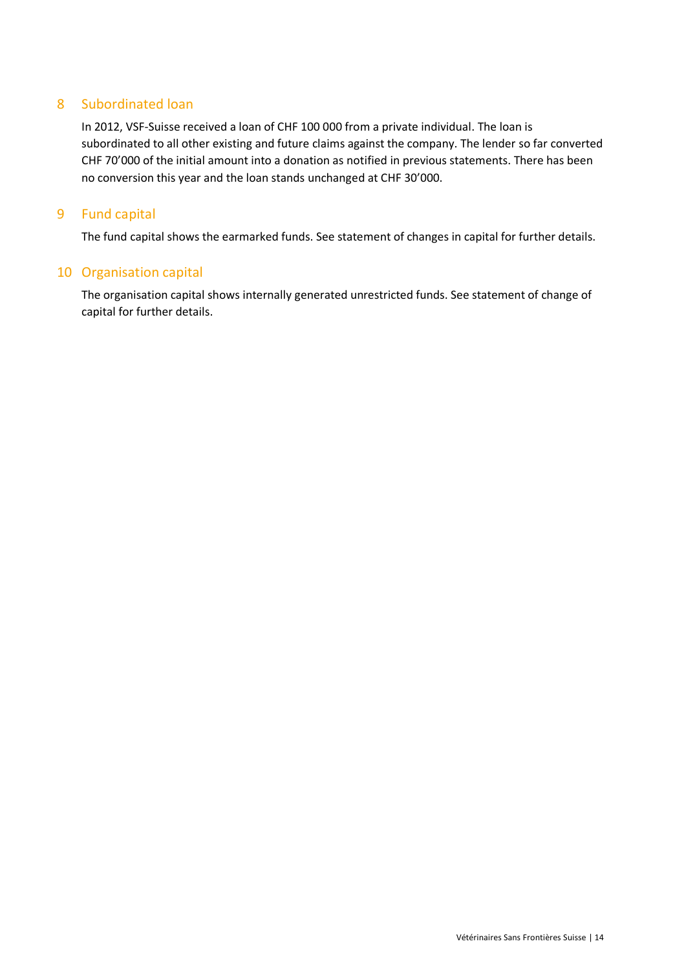### 8 Subordinated loan

In 2012, VSF-Suisse received a loan of CHF 100 000 from a private individual. The loan is subordinated to all other existing and future claims against the company. The lender so far converted CHF 70'000 of the initial amount into a donation as notified in previous statements. There has been no conversion this year and the loan stands unchanged at CHF 30'000.

#### 9 Fund capital

The fund capital shows the earmarked funds. See statement of changes in capital for further details.

#### 10 Organisation capital

The organisation capital shows internally generated unrestricted funds. See statement of change of capital for further details.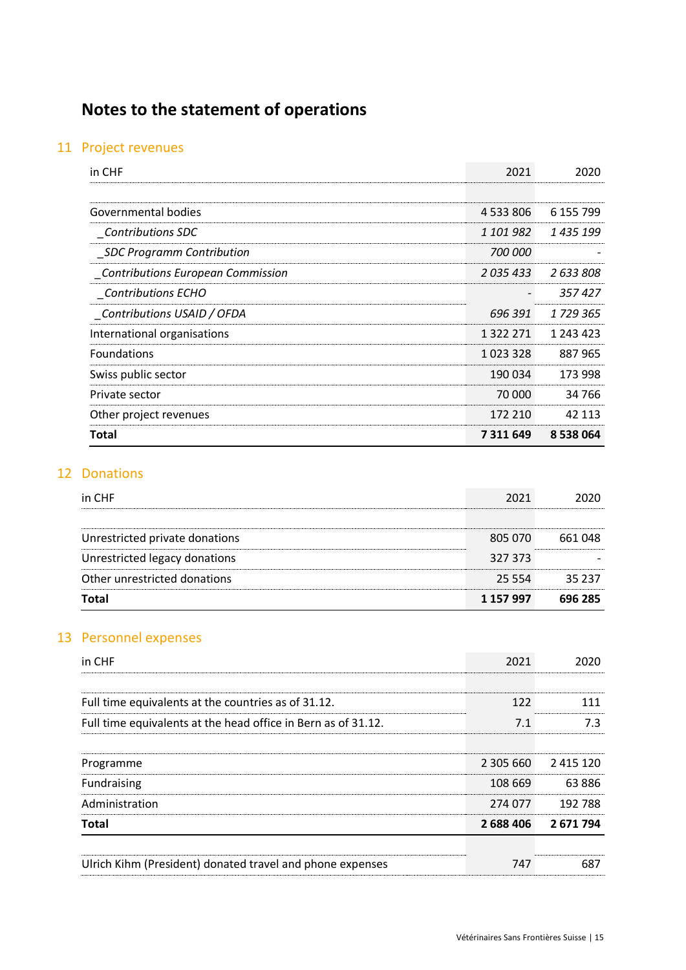# **Notes to the statement of operations**

## 11 Project revenues

| in CHF                                   | 2021      | 2020      |
|------------------------------------------|-----------|-----------|
|                                          |           |           |
| Governmental bodies                      | 4 533 806 | 6 155 799 |
| Contributions SDC                        | 1 101 982 | 1 435 199 |
| <b>SDC Programm Contribution</b>         | 700 000   |           |
| <b>Contributions European Commission</b> | 2035433   | 2 633 808 |
| <b>Contributions ECHO</b>                |           | 357427    |
| Contributions USAID / OFDA               | 696 391   | 1 729 365 |
| International organisations              | 1 322 271 | 1 243 423 |
| <b>Foundations</b>                       | 1023328   | 887 965   |
| Swiss public sector                      | 190 034   | 173 998   |
| Private sector                           | 70 000    | 34 766    |
| Other project revenues                   | 172 210   | 42 113    |
| Total                                    | 7 311 649 | 8 538 064 |

### 12 Donations

| in CHF                         | 2021      | 2020    |
|--------------------------------|-----------|---------|
|                                |           |         |
| Unrestricted private donations | 805 070   | 661 048 |
| Unrestricted legacy donations  | 327 373   |         |
| Other unrestricted donations   | 25.554    | 35237   |
| Total                          | 1 157 997 | 696 285 |

## 13 Personnel expenses

| in CHF                                                        | 2021      | 2020          |
|---------------------------------------------------------------|-----------|---------------|
|                                                               |           |               |
| Full time equivalents at the countries as of 31.12.           | 122       | 111           |
| Full time equivalents at the head office in Bern as of 31.12. | 7.1       | 7.3           |
|                                                               |           |               |
| Programme                                                     | 2 305 660 | 2 4 1 5 1 2 0 |
| Fundraising                                                   | 108 669   | 63886         |
| Administration                                                | 274 077   | 192 788       |
| <b>Total</b>                                                  | 2 688 406 | 2671794       |
|                                                               |           |               |
| Ulrich Kihm (President) donated travel and phone expenses     | 747       | 687           |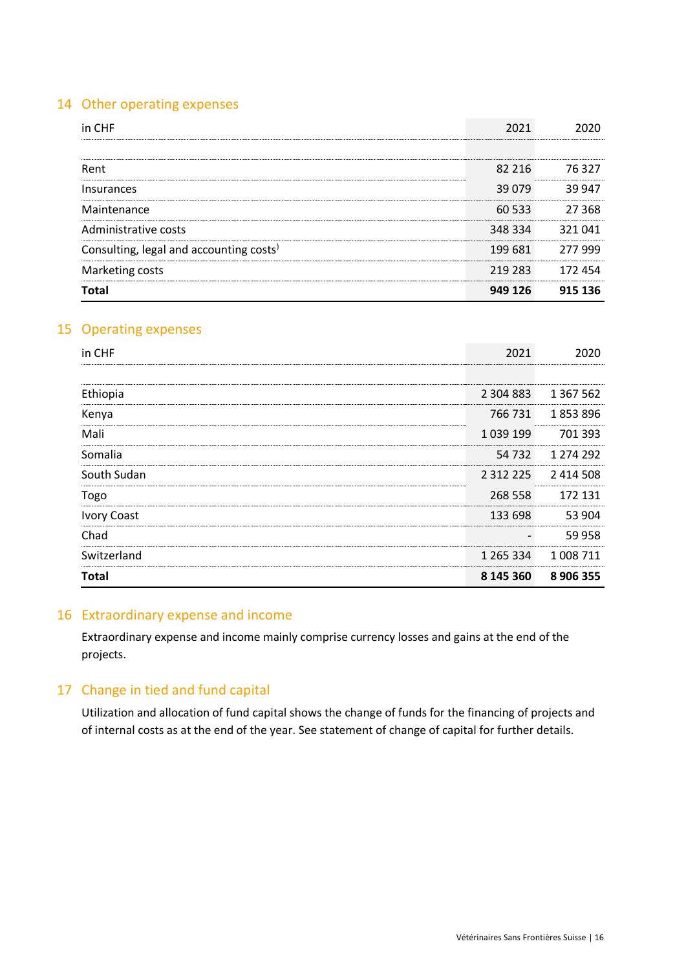#### 14 Other operating expenses

| in CHF                                              | 2021    | 2020    |
|-----------------------------------------------------|---------|---------|
|                                                     |         |         |
| Rent                                                | 82 2 16 | 76327   |
| Insurances                                          | 39 0 79 | 39 947  |
| Maintenance                                         | 60 533  | 27368   |
| Administrative costs                                | 348 334 | 321 041 |
| Consulting, legal and accounting costs <sup>)</sup> | 199 681 | 277 999 |
| Marketing costs                                     | 219 283 | 172 454 |
| <b>Total</b>                                        | 949 126 | 915 136 |

### 15 Operating expenses

| in CHF             | 2021          | 2020          |
|--------------------|---------------|---------------|
|                    |               |               |
| Ethiopia           | 2 304 883     | 1 3 6 7 5 6 2 |
| Kenya              | 766 731       | 1853896       |
| Mali               | 1039199       | 701 393       |
| Somalia            | 54 7 32       | 1 274 292     |
| South Sudan        | 2 3 1 2 2 2 5 | 2 4 14 5 08   |
| Togo               | 268 558       | 172 131       |
| <b>Ivory Coast</b> | 133 698       | 53 904        |
| Chad               |               | 59 958        |
| Switzerland        | 1 265 334     | 1 008 711     |
| <b>Total</b>       | 8 145 360     | 8 906 355     |

### 16 Extraordinary expense and income

Extraordinary expense and income mainly comprise currency losses and gains at the end of the projects.

### 17 Change in tied and fund capital

Utilization and allocation of fund capital shows the change of funds for the financing of projects and of internal costs as at the end of the year. See statement of change of capital for further details.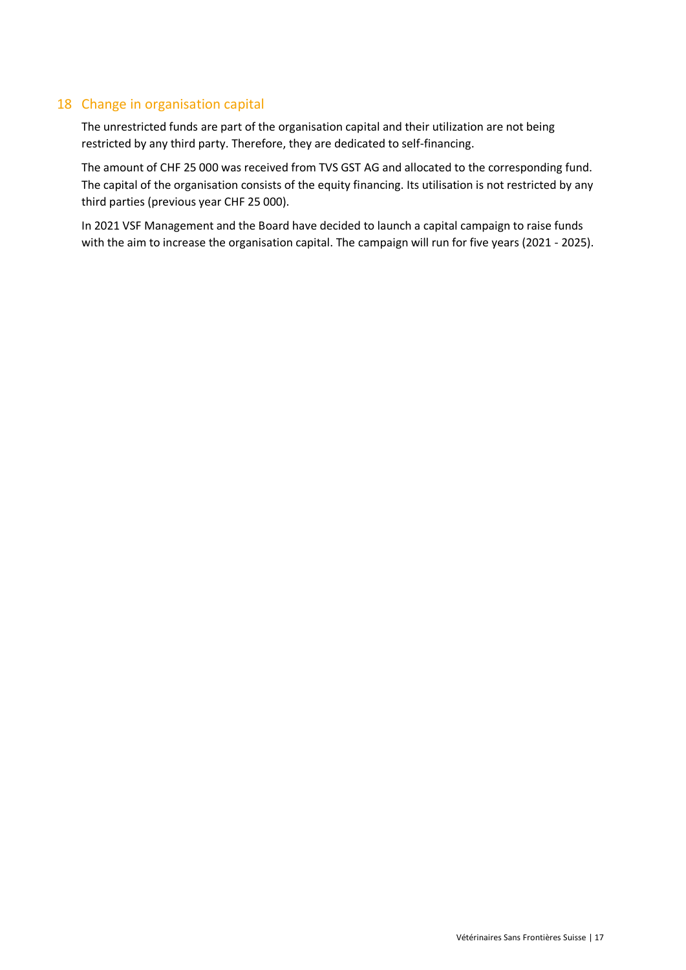### 18 Change in organisation capital

The unrestricted funds are part of the organisation capital and their utilization are not being restricted by any third party. Therefore, they are dedicated to self-financing.

The amount of CHF 25 000 was received from TVS GST AG and allocated to the corresponding fund. The capital of the organisation consists of the equity financing. Its utilisation is not restricted by any third parties (previous year CHF 25 000).

In 2021 VSF Management and the Board have decided to launch a capital campaign to raise funds with the aim to increase the organisation capital. The campaign will run for five years (2021 - 2025).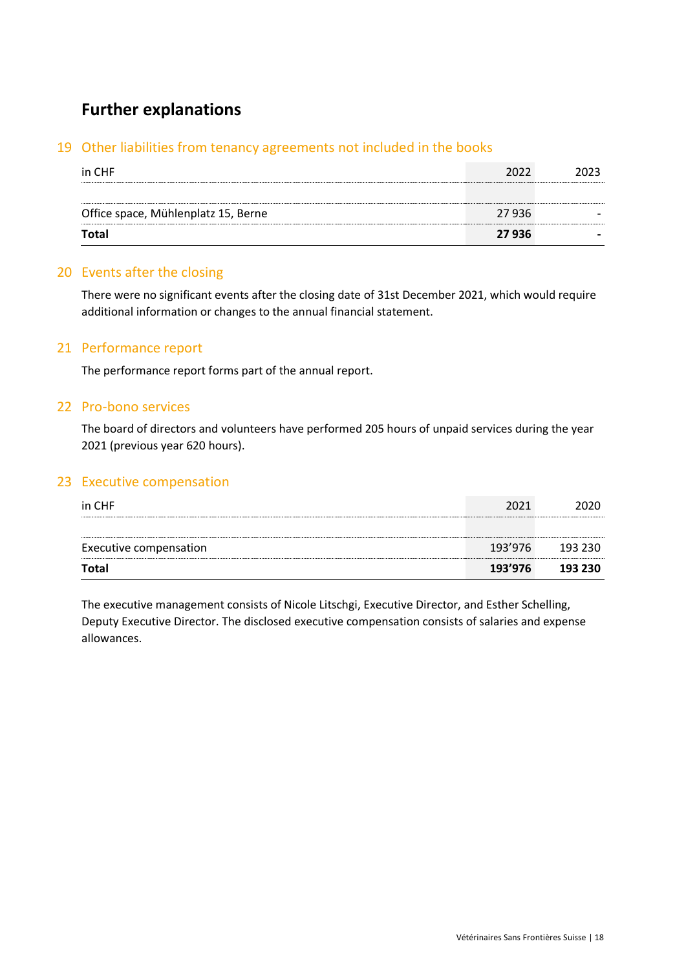## **Further explanations**

#### 19 Other liabilities from tenancy agreements not included in the books

| in CHF                              | 2022   | 2023. |
|-------------------------------------|--------|-------|
|                                     |        |       |
| Office space, Mühlenplatz 15, Berne | 27936  |       |
| <b>Total</b>                        | 27 936 |       |

#### 20 Events after the closing

There were no significant events after the closing date of 31st December 2021, which would require additional information or changes to the annual financial statement.

#### 21 Performance report

The performance report forms part of the annual report.

#### 22 Pro-bono services

The board of directors and volunteers have performed 205 hours of unpaid services during the year 2021 (previous year 620 hours).

#### 23 Executive compensation

| in CHF                 | 2021    | 2020    |
|------------------------|---------|---------|
|                        |         |         |
| Executive compensation | 193'976 | 193 230 |
| <b>Total</b>           | 193'976 | 193 230 |

The executive management consists of Nicole Litschgi, Executive Director, and Esther Schelling, Deputy Executive Director. The disclosed executive compensation consists of salaries and expense allowances.